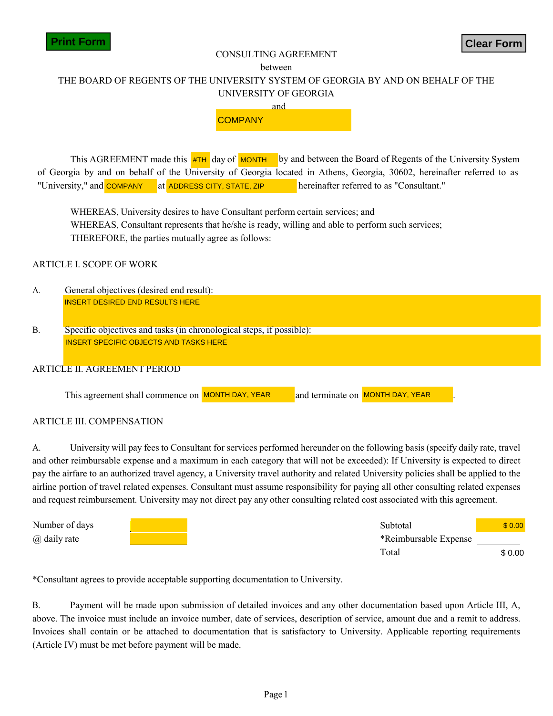

#### CONSULTING AGREEMENT

#### between

# THE BOARD OF REGENTS OF THE UNIVERSITY SYSTEM OF GEORGIA BY AND ON BEHALF OF THE UNIVERSITY OF GEORGIA



**#TH** day of **MONTH COMPAN ADDRESS CITY, STATE, ZIP**, Month ADDRESS CITY, STATE, ZIP COMPANYADDRESS CITY, STATE, ZIP by and between the Board of Regents of the University System of Georgia by and on behalf of the University of Georgia located in Athens, Georgia, 30602, hereinafter referred to as "University," and **COMPANY** at ADDRESS CITY, STATE, ZIP hereinafter referred to as "Consultant."

WHEREAS, University desires to have Consultant perform certain services; and WHEREAS, Consultant represents that he/she is ready, willing and able to perform such services; THEREFORE, the parties mutually agree as follows:

#### ARTICLE I. SCOPE OF WORK

- **[INSERT DESIRED END RESULTS** INSERT DESIRED END RESULTS HERE INSERT DESIRED END RESULTS HERE A. General objectives (desired end result):
- **[INSERT SPECIFIC OBJECTS AND TASKS HERE]** INSERT SPECIFIC OBJECTS AND TASKS HERE INSERT SPECIFIC OBJECTS AND TASKS HERE B. Specific objectives and tasks (in chronological steps, if possible):

#### ARTICLE II. AGREEMENT PERIOD

This agreement shall commence on MONTH DAY, YEAR

**MONTH DAY, YEAR** and terminate on **MONTH DAY, YEAR** 

#### ARTICLE III. COMPENSATION

A. University will pay fees to Consultant for services performed hereunder on the following basis (specify daily rate, travel and other reimbursable expense and a maximum in each category that will not be exceeded): If University is expected to direct pay the airfare to an authorized travel agency, a University travel authority and related University policies shall be applied to the airline portion of travel related expenses. Consultant must assume responsibility for paying all other consulting related expenses and request reimbursement. University may not direct pay any other consulting related cost associated with this agreement. **CONSULTING** AGREEMENT<br>
THE BOARD OF REGENTS OF THE UNIVERSITY SYSTEM OF GEORGIA BY AND ON BEHALE OF THE<br>
UNIVERSITY OF GEORGIA<br> **COMPANY**<br>
This AGREEMENT made this **ore dispersion** of the change of Rogerita of Research of

| Number of days | Subtotal              | \$ 0.00 |
|----------------|-----------------------|---------|
| @ daily rate   | *Reimbursable Expense |         |
|                | Total                 | \$0.00  |

\*Consultant agrees to provide acceptable supporting documentation to University.

B. Payment will be made upon submission of detailed invoices and any other documentation based upon Article III, A, above. The invoice must include an invoice number, date of services, description of service, amount due and a remit to address. Invoices shall contain or be attached to documentation that is satisfactory to University. Applicable reporting requirements (Article IV) must be met before payment will be made.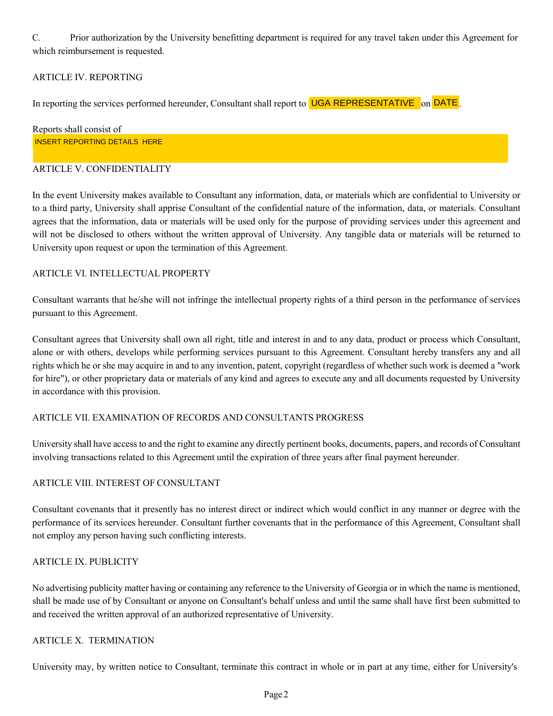C. Prior authorization by the University benefitting department is required for any travel taken under this Agreement for which reimbursement is requested.

# ARTICLE IV. REPORTING

In reporting the services performed hereunder, Consultant shall report to **UGA REPRESENTATIVE** on **DATE**.

Reports shall consist of **[INSERT REPORTING DETAILS HERE]** INSERT REPORTING DETAILS HERE

## ARTICLE V. CONFIDENTIALITY

In the event University makes available to Consultant any information, data, or materials which are confidential to University or to a third party, University shall apprise Consultant of the confidential nature of the information, data, or materials. Consultant agrees that the information, data or materials will be used only for the purpose of providing services under this agreement and will not be disclosed to others without the written approval of University. Any tangible data or materials will be returned to University upon request or upon the termination of this Agreement.

# ARTICLE VI. INTELLECTUAL PROPERTY

Consultant warrants that he/she will not infringe the intellectual property rights of a third person in the performance of services pursuant to this Agreement.

Consultant agrees that University shall own all right, title and interest in and to any data, product or process which Consultant, alone or with others, develops while performing services pursuant to this Agreement. Consultant hereby transfers any and all rights which he or she may acquire in and to any invention, patent, copyright (regardless of whether such work is deemed a ''work for hire"), or other proprietary data or materials of any kind and agrees to execute any and all documents requested by University in accordance with this provision.

## ARTICLE VII. EXAMINATION OF RECORDS AND CONSULTANTS PROGRESS

University shall have access to and the right to examine any directly pertinent books, documents, papers, and records of Consultant involving transactions related to this Agreement until the expiration of three years after final payment hereunder.

## ARTICLE VIII. INTEREST OF CONSULTANT

Consultant covenants that it presently has no interest direct or indirect which would conflict in any manner or degree with the performance of its services hereunder. Consultant further covenants that in the performance of this Agreement, Consultant shall not employ any person having such conflicting interests.

## ARTICLE IX. PUBLICITY

No advertising publicity matter having or containing any reference to the University of Georgia or in which the name is mentioned, shall be made use of by Consultant or anyone on Consultant's behalf unless and until the same shall have first been submitted to and received the written approval of an authorized representative of University.

## ARTICLE X. TERMINATION

University may, by written notice to Consultant, terminate this contract in whole or in part at any time, either for University's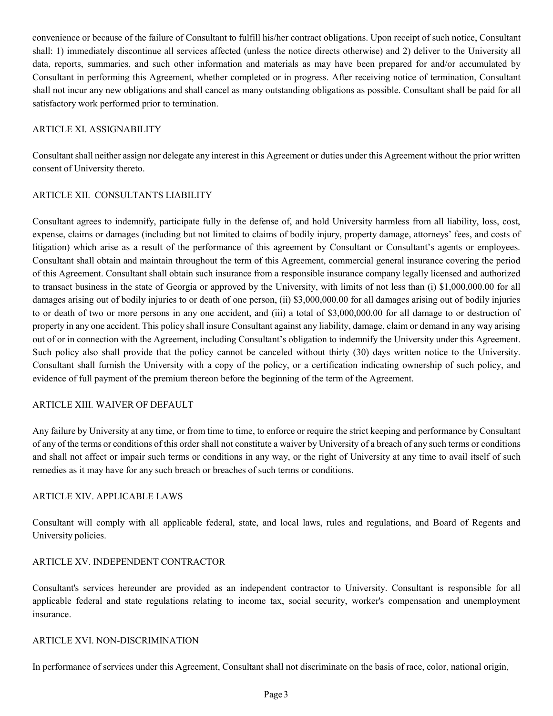convenience or because of the failure of Consultant to fulfill his/her contract obligations. Upon receipt of such notice, Consultant shall: 1) immediately discontinue all services affected (unless the notice directs otherwise) and 2) deliver to the University all data, reports, summaries, and such other information and materials as may have been prepared for and/or accumulated by Consultant in performing this Agreement, whether completed or in progress. After receiving notice of termination, Consultant shall not incur any new obligations and shall cancel as many outstanding obligations as possible. Consultant shall be paid for all satisfactory work performed prior to termination.

## ARTICLE XI. ASSIGNABILITY

Consultant shall neither assign nor delegate any interest in this Agreement or duties under this Agreement without the prior written consent of University thereto.

## ARTICLE XII. CONSULTANTS LIABILITY

Consultant agrees to indemnify, participate fully in the defense of, and hold University harmless from all liability, loss, cost, expense, claims or damages (including but not limited to claims of bodily injury, property damage, attorneys' fees, and costs of litigation) which arise as a result of the performance of this agreement by Consultant or Consultant's agents or employees. Consultant shall obtain and maintain throughout the term of this Agreement, commercial general insurance covering the period of this Agreement. Consultant shall obtain such insurance from a responsible insurance company legally licensed and authorized to transact business in the state of Georgia or approved by the University, with limits of not less than (i) \$1,000,000.00 for all damages arising out of bodily injuries to or death of one person, (ii) \$3,000,000.00 for all damages arising out of bodily injuries to or death of two or more persons in any one accident, and (iii) a total of \$3,000,000.00 for all damage to or destruction of property in any one accident. This policy shall insure Consultant against any liability, damage, claim or demand in any way arising out of or in connection with the Agreement, including Consultant's obligation to indemnify the University under this Agreement. Such policy also shall provide that the policy cannot be canceled without thirty (30) days written notice to the University. Consultant shall furnish the University with a copy of the policy, or a certification indicating ownership of such policy, and evidence of full payment of the premium thereon before the beginning of the term of the Agreement.

#### ARTICLE XIII. WAIVER OF DEFAULT

Any failure by University at any time, or from time to time, to enforce or require the strict keeping and performance by Consultant of any of the terms or conditions of this order shall not constitute a waiver by University of a breach of any such terms or conditions and shall not affect or impair such terms or conditions in any way, or the right of University at any time to avail itself of such remedies as it may have for any such breach or breaches of such terms or conditions.

#### ARTICLE XIV. APPLICABLE LAWS

Consultant will comply with all applicable federal, state, and local laws, rules and regulations, and Board of Regents and University policies.

## ARTICLE XV. INDEPENDENT CONTRACTOR

Consultant's services hereunder are provided as an independent contractor to University. Consultant is responsible for all applicable federal and state regulations relating to income tax, social security, worker's compensation and unemployment insurance.

#### ARTICLE XVI. NON-DISCRIMINATION

In performance of services under this Agreement, Consultant shall not discriminate on the basis of race, color, national origin,